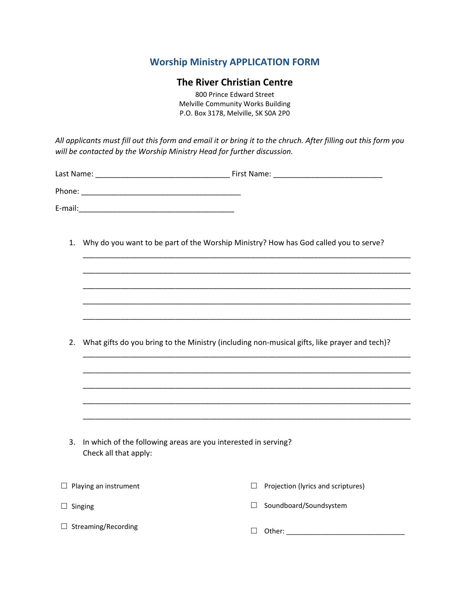## **Worship Ministry APPLICATION FORM**

## **The River Christian Centre**

800 Prince Edward Street Melville Community Works Building P.O. Box 3178, Melville, SK S0A 2P0

All applicants must fill out this form and email it or bring it to the chruch. After filling out this form you *will be contacted by the Worship Ministry Head for further discussion.* 

| Last Name: | First Name: |
|------------|-------------|
| Phone:     |             |
| E-mail:    |             |

1. Why do you want to be part of the Worship Ministry? How has God called you to serve?

\_\_\_\_\_\_\_\_\_\_\_\_\_\_\_\_\_\_\_\_\_\_\_\_\_\_\_\_\_\_\_\_\_\_\_\_\_\_\_\_\_\_\_\_\_\_\_\_\_\_\_\_\_\_\_\_\_\_\_\_\_\_\_\_\_\_\_\_\_\_\_\_\_\_\_\_\_\_

\_\_\_\_\_\_\_\_\_\_\_\_\_\_\_\_\_\_\_\_\_\_\_\_\_\_\_\_\_\_\_\_\_\_\_\_\_\_\_\_\_\_\_\_\_\_\_\_\_\_\_\_\_\_\_\_\_\_\_\_\_\_\_\_\_\_\_\_\_\_\_\_\_\_\_\_\_\_

\_\_\_\_\_\_\_\_\_\_\_\_\_\_\_\_\_\_\_\_\_\_\_\_\_\_\_\_\_\_\_\_\_\_\_\_\_\_\_\_\_\_\_\_\_\_\_\_\_\_\_\_\_\_\_\_\_\_\_\_\_\_\_\_\_\_\_\_\_\_\_\_\_\_\_\_\_\_

\_\_\_\_\_\_\_\_\_\_\_\_\_\_\_\_\_\_\_\_\_\_\_\_\_\_\_\_\_\_\_\_\_\_\_\_\_\_\_\_\_\_\_\_\_\_\_\_\_\_\_\_\_\_\_\_\_\_\_\_\_\_\_\_\_\_\_\_\_\_\_\_\_\_\_\_\_\_

\_\_\_\_\_\_\_\_\_\_\_\_\_\_\_\_\_\_\_\_\_\_\_\_\_\_\_\_\_\_\_\_\_\_\_\_\_\_\_\_\_\_\_\_\_\_\_\_\_\_\_\_\_\_\_\_\_\_\_\_\_\_\_\_\_\_\_\_\_\_\_\_\_\_\_\_\_\_

\_\_\_\_\_\_\_\_\_\_\_\_\_\_\_\_\_\_\_\_\_\_\_\_\_\_\_\_\_\_\_\_\_\_\_\_\_\_\_\_\_\_\_\_\_\_\_\_\_\_\_\_\_\_\_\_\_\_\_\_\_\_\_\_\_\_\_\_\_\_\_\_\_\_\_\_\_\_

\_\_\_\_\_\_\_\_\_\_\_\_\_\_\_\_\_\_\_\_\_\_\_\_\_\_\_\_\_\_\_\_\_\_\_\_\_\_\_\_\_\_\_\_\_\_\_\_\_\_\_\_\_\_\_\_\_\_\_\_\_\_\_\_\_\_\_\_\_\_\_\_\_\_\_\_\_\_

\_\_\_\_\_\_\_\_\_\_\_\_\_\_\_\_\_\_\_\_\_\_\_\_\_\_\_\_\_\_\_\_\_\_\_\_\_\_\_\_\_\_\_\_\_\_\_\_\_\_\_\_\_\_\_\_\_\_\_\_\_\_\_\_\_\_\_\_\_\_\_\_\_\_\_\_\_\_

\_\_\_\_\_\_\_\_\_\_\_\_\_\_\_\_\_\_\_\_\_\_\_\_\_\_\_\_\_\_\_\_\_\_\_\_\_\_\_\_\_\_\_\_\_\_\_\_\_\_\_\_\_\_\_\_\_\_\_\_\_\_\_\_\_\_\_\_\_\_\_\_\_\_\_\_\_\_

\_\_\_\_\_\_\_\_\_\_\_\_\_\_\_\_\_\_\_\_\_\_\_\_\_\_\_\_\_\_\_\_\_\_\_\_\_\_\_\_\_\_\_\_\_\_\_\_\_\_\_\_\_\_\_\_\_\_\_\_\_\_\_\_\_\_\_\_\_\_\_\_\_\_\_\_\_\_

2. What gifts do you bring to the Ministry (including non-musical gifts, like prayer and tech)?

| 3. In which of the following areas are you interested in serving? |
|-------------------------------------------------------------------|
| Check all that apply:                                             |

| $\Box$ Playing an instrument | Projection (lyrics and scriptures)<br>$\Box$ |
|------------------------------|----------------------------------------------|
| $\Box$ Singing               | Soundboard/Soundsystem                       |
| $\Box$ Streaming/Recording   | Other:                                       |